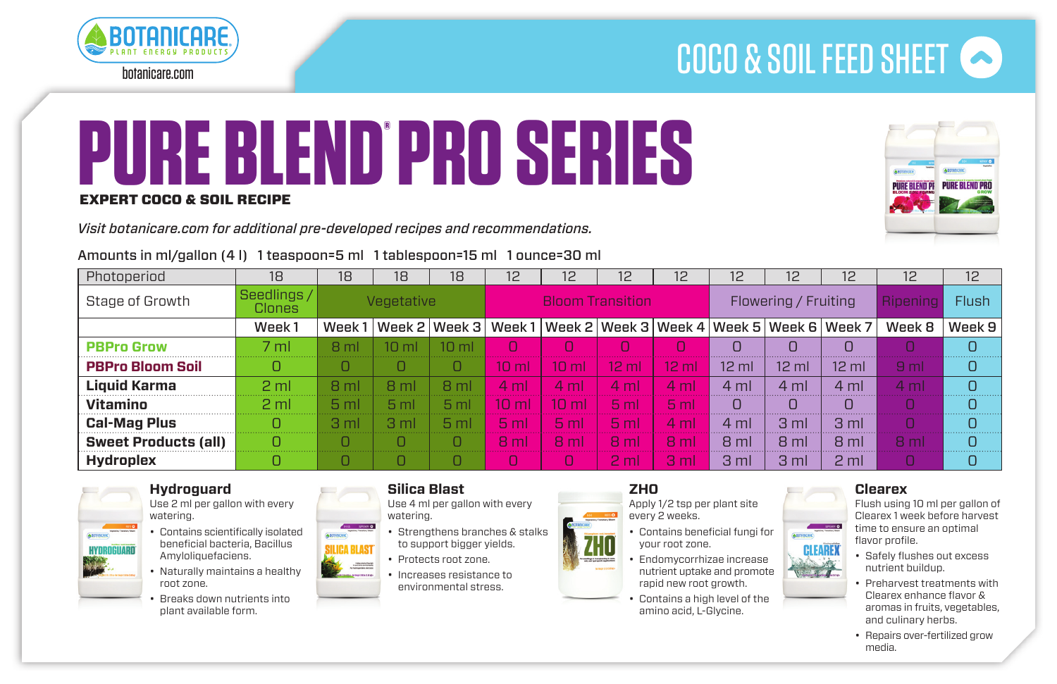

botanicare.com

# COCO & SOIL FEED SHEET

# **PURE BLEND PRO SERIES ®**

#### EXPERT COCO & SOIL RECIPE

*Visit botanicare.com for additional pre-developed recipes and recommendations.* 



### Amounts in ml/gallon (4 l) 1 teaspoon=5 ml 1 tablespoon=15 ml 1 ounce=30 ml

| Photoperiod                 | 18                    | 18              | 18              | 18              | 12                      | 12                                                           | 12              | 12               | 12                   | 12               | 12               | 12              | 12           |
|-----------------------------|-----------------------|-----------------|-----------------|-----------------|-------------------------|--------------------------------------------------------------|-----------------|------------------|----------------------|------------------|------------------|-----------------|--------------|
| Stage of Growth             | Seedlings /<br>Clones | Vegetative      |                 |                 | <b>Bloom Transition</b> |                                                              |                 |                  | Flowering / Fruiting |                  |                  | Ripening        | <b>Flush</b> |
|                             | Week1                 | Week1           |                 | Week 2   Week 3 |                         | Week 1   Week 2   Week 3   Week 4   Week 5   Week 6   Week 7 |                 |                  |                      |                  |                  | Week 8          | Week 9       |
| <b>PBPro Grow</b>           | 7 <sub>ml</sub>       | 8 <sub>ml</sub> | 10<br>ml        | 10 <sub>m</sub> |                         |                                                              |                 |                  |                      |                  |                  |                 |              |
| <b>PBPro Bloom Soil</b>     |                       |                 |                 | O               | 10 <sup>1</sup><br>ml   | 10 <sub>m</sub>                                              | $12 \text{ ml}$ | $12 \mathrm{ml}$ | $12 \mathrm{ml}$     | $12 \mathrm{ml}$ | $12 \mathrm{ml}$ | 9 <sub>ml</sub> |              |
| <b>Liquid Karma</b>         | 2 <sub>m1</sub>       | 8 ml            | 8 ml            | 8 ml            | 4 ml                    | $4 \text{ ml}$                                               | $4 \text{ ml}$  | 4 <sub>ml</sub>  | $4 \text{ ml}$       | 4 ml             | 4 ml             | $4 \mathrm{ml}$ |              |
| Vitamino                    | 2 <sub>ml</sub>       | 5 <sub>m</sub>  | 5 <sub>ml</sub> | 5 <sub>ml</sub> | $1\Omega$<br>ml         | 10 <sub>m</sub>                                              | 5 <sub>ml</sub> | 5 <sub>ml</sub>  |                      |                  |                  |                 |              |
| <b>Cal-Mag Plus</b>         |                       | 3 ml            | 3 <sub>ml</sub> | 5 <sub>ml</sub> | 5 <sub>ml</sub>         | 5 <sub>m</sub>                                               | 5 <sub>ml</sub> | $4 \text{ ml}$   | $4 \text{ ml}$       | 3 <sub>ml</sub>  | 3 <sub>ml</sub>  |                 |              |
| <b>Sweet Products (all)</b> |                       |                 | ∩               | n               | 8 <sub>ml</sub>         | R <sub>m</sub>                                               | R <sub>m</sub>  | 8 <sub>m</sub>   | 8 ml                 | 8 ml             | 8 ml             | R <sub>m</sub>  | n            |
| <b>Hydroplex</b>            |                       |                 |                 |                 |                         |                                                              | 2 <sub>m</sub>  | 3 <sub>ml</sub>  | 3 <sub>ml</sub>      | 3 <sub>ml</sub>  | 2 <sub>m</sub>   |                 |              |



#### **Hydroguard**

Use 2 ml per gallon with every watering.

- Contains scientifically isolated beneficial bacteria, Bacillus Amyloliquefaciens.
- • Naturally maintains a healthy root zone.
- Breaks down nutrients into plant available form.

#### **Silica Blast**

Use 4 ml per gallon with every watering.

- Strengthens branches & stalks to support bigger yields.
- • Protects root zone.
- Increases resistance to environmental stress.

#### **ZHO** Apply 1/2 tsp per plant site







rapid new root growth. Contains a high level of the amino acid, L-Glycine.

every 2 weeks.

# **Clearex**

Flush using 10 ml per gallon of Clearex 1 week before harvest time to ensure an optimal flavor profile.



- • Preharvest treatments with Clearex enhance flavor & aromas in fruits, vegetables, and culinary herbs.
- Repairs over-fertilized grow media.